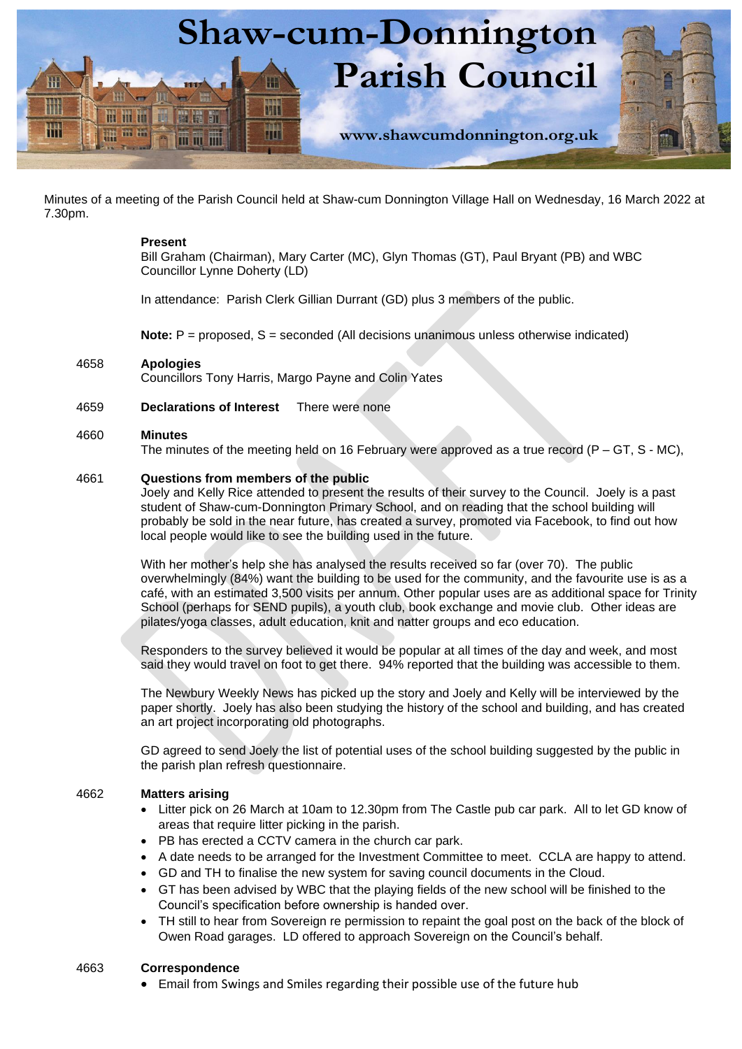

Minutes of a meeting of the Parish Council held at Shaw-cum Donnington Village Hall on Wednesday, 16 March 2022 at 7.30pm.

### **Present**

Bill Graham (Chairman), Mary Carter (MC), Glyn Thomas (GT), Paul Bryant (PB) and WBC Councillor Lynne Doherty (LD)

In attendance: Parish Clerk Gillian Durrant (GD) plus 3 members of the public.

**Note:**  $P =$  proposed, S = seconded (All decisions unanimous unless otherwise indicated)

## 4658 **Apologies**

Councillors Tony Harris, Margo Payne and Colin Yates

## 4659 **Declarations of Interest** There were none

#### 4660 **Minutes**

The minutes of the meeting held on 16 February were approved as a true record (P – GT, S - MC),

#### 4661 **Questions from members of the public**

Joely and Kelly Rice attended to present the results of their survey to the Council. Joely is a past student of Shaw-cum-Donnington Primary School, and on reading that the school building will probably be sold in the near future, has created a survey, promoted via Facebook, to find out how local people would like to see the building used in the future.

With her mother's help she has analysed the results received so far (over 70). The public overwhelmingly (84%) want the building to be used for the community, and the favourite use is as a café, with an estimated 3,500 visits per annum. Other popular uses are as additional space for Trinity School (perhaps for SEND pupils), a youth club, book exchange and movie club. Other ideas are pilates/yoga classes, adult education, knit and natter groups and eco education.

Responders to the survey believed it would be popular at all times of the day and week, and most said they would travel on foot to get there. 94% reported that the building was accessible to them.

The Newbury Weekly News has picked up the story and Joely and Kelly will be interviewed by the paper shortly. Joely has also been studying the history of the school and building, and has created an art project incorporating old photographs.

GD agreed to send Joely the list of potential uses of the school building suggested by the public in the parish plan refresh questionnaire.

# 4662 **Matters arising**

- Litter pick on 26 March at 10am to 12.30pm from The Castle pub car park. All to let GD know of areas that require litter picking in the parish.
- PB has erected a CCTV camera in the church car park.
- A date needs to be arranged for the Investment Committee to meet. CCLA are happy to attend.
- GD and TH to finalise the new system for saving council documents in the Cloud.
- GT has been advised by WBC that the playing fields of the new school will be finished to the Council's specification before ownership is handed over.
- TH still to hear from Sovereign re permission to repaint the goal post on the back of the block of Owen Road garages. LD offered to approach Sovereign on the Council's behalf.

### 4663 **Correspondence**

• Email from Swings and Smiles regarding their possible use of the future hub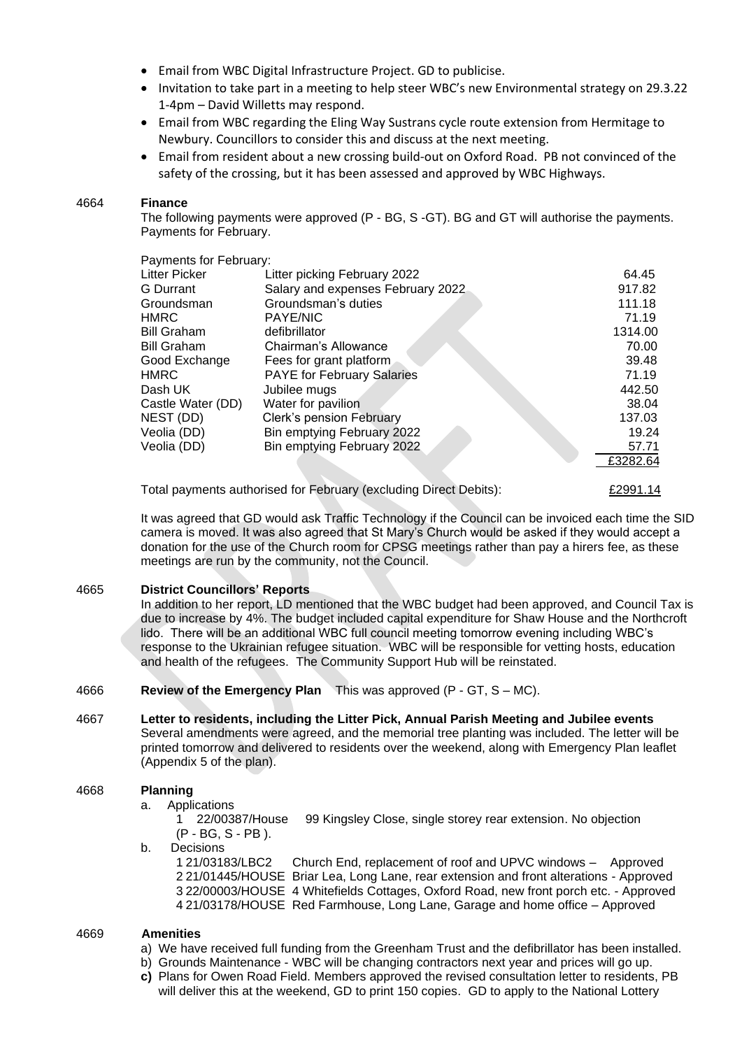- Email from WBC Digital Infrastructure Project. GD to publicise.
- Invitation to take part in a meeting to help steer WBC's new Environmental strategy on 29.3.22 1-4pm – David Willetts may respond.
- Email from WBC regarding the Eling Way Sustrans cycle route extension from Hermitage to Newbury. Councillors to consider this and discuss at the next meeting.
- Email from resident about a new crossing build-out on Oxford Road. PB not convinced of the safety of the crossing, but it has been assessed and approved by WBC Highways.

#### 4664 **Finance**

The following payments were approved (P - BG, S -GT). BG and GT will authorise the payments. Payments for February.

| Payments for February: |                                   |          |
|------------------------|-----------------------------------|----------|
| Litter Picker          | Litter picking February 2022      | 64.45    |
| G Durrant              | Salary and expenses February 2022 | 917.82   |
| Groundsman             | Groundsman's duties               | 111.18   |
| HMRC                   | PAYE/NIC                          | 71.19    |
| Bill Graham            | defibrillator                     | 1314.00  |
| <b>Bill Graham</b>     | Chairman's Allowance              | 70.00    |
| Good Exchange          | Fees for grant platform           | 39.48    |
| HMRC                   | <b>PAYE for February Salaries</b> | 71.19    |
| Dash UK                | Jubilee mugs                      | 442.50   |
| Castle Water (DD)      | Water for pavilion                | 38.04    |
| NEST (DD)              | <b>Clerk's pension February</b>   | 137.03   |
| Veolia (DD)            | Bin emptying February 2022        | 19.24    |
| Veolia (DD)            | Bin emptying February 2022        | 57.71    |
|                        |                                   | £3282.64 |
|                        |                                   |          |

Total payments authorised for February (excluding Direct Debits):  $\qquad 2991.14$ 

It was agreed that GD would ask Traffic Technology if the Council can be invoiced each time the SID camera is moved. It was also agreed that St Mary's Church would be asked if they would accept a donation for the use of the Church room for CPSG meetings rather than pay a hirers fee, as these meetings are run by the community, not the Council.

#### 4665 **District Councillors' Reports**

In addition to her report, LD mentioned that the WBC budget had been approved, and Council Tax is due to increase by 4%. The budget included capital expenditure for Shaw House and the Northcroft lido. There will be an additional WBC full council meeting tomorrow evening including WBC's response to the Ukrainian refugee situation. WBC will be responsible for vetting hosts, education and health of the refugees. The Community Support Hub will be reinstated.

#### 4666 **Review of the Emergency Plan** This was approved (P - GT, S – MC).

### 4667 **Letter to residents, including the Litter Pick, Annual Parish Meeting and Jubilee events** Several amendments were agreed, and the memorial tree planting was included. The letter will be printed tomorrow and delivered to residents over the weekend, along with Emergency Plan leaflet (Appendix 5 of the plan).

#### 4668 **Planning**

a. Applications

1 22/00387/House 99 Kingsley Close, single storey rear extension. No objection (P - BG, S - PB ).

b. Decisions

 21/03183/LBC2 Church End, replacement of roof and UPVC windows – Approved 21/01445/HOUSE Briar Lea, Long Lane, rear extension and front alterations - Approved 22/00003/HOUSE 4 Whitefields Cottages, Oxford Road, new front porch etc. - Approved 21/03178/HOUSE Red Farmhouse, Long Lane, Garage and home office – Approved

#### 4669 **Amenities**

- a) We have received full funding from the Greenham Trust and the defibrillator has been installed.
- b) Grounds Maintenance WBC will be changing contractors next year and prices will go up.
- **c)** Plans for Owen Road Field. Members approved the revised consultation letter to residents, PB will deliver this at the weekend, GD to print 150 copies. GD to apply to the National Lottery